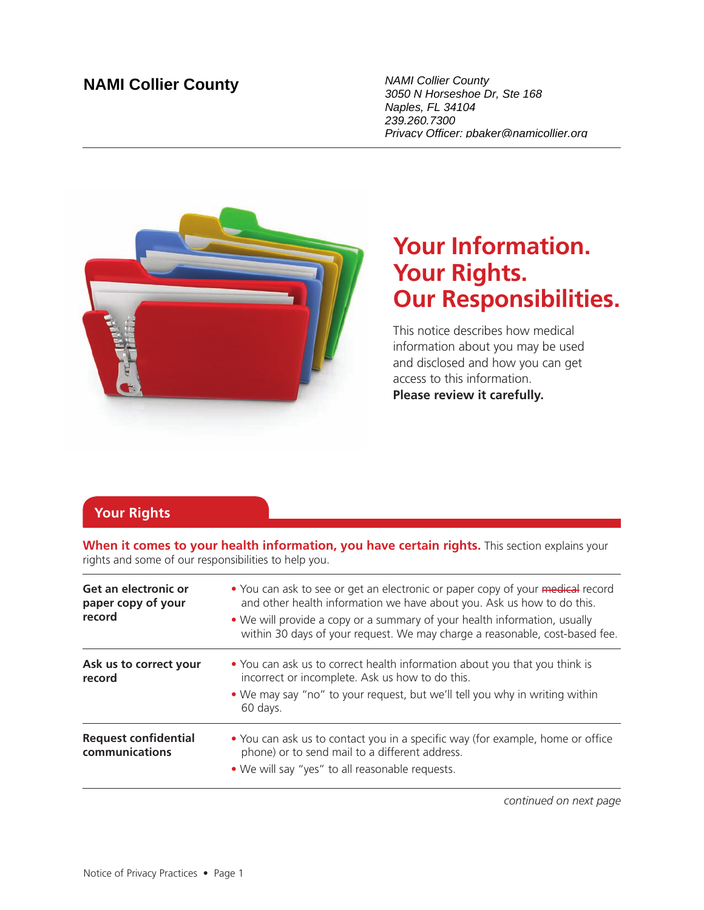## **NAMI Collier County** NAMI Collier County

3050 N Horseshoe Dr, Ste 168 Naples, FL 34104 239.260.7300 Privacy Officer: pbaker@namicollier.org



# **Your Information. Your Rights. Our Responsibilities.**

This notice describes how medical information about you may be used and disclosed and how you can get access to this information. **Please review it carefully.**

## **Your Rights**

**When it comes to your health information, you have certain rights.** This section explains your rights and some of our responsibilities to help you.

| Get an electronic or<br>paper copy of your<br>record | • You can ask to see or get an electronic or paper copy of your medical record<br>and other health information we have about you. Ask us how to do this.<br>• We will provide a copy or a summary of your health information, usually<br>within 30 days of your request. We may charge a reasonable, cost-based fee. |
|------------------------------------------------------|----------------------------------------------------------------------------------------------------------------------------------------------------------------------------------------------------------------------------------------------------------------------------------------------------------------------|
| Ask us to correct your<br>record                     | • You can ask us to correct health information about you that you think is<br>incorrect or incomplete. Ask us how to do this.<br>• We may say "no" to your request, but we'll tell you why in writing within<br>60 days.                                                                                             |
| <b>Request confidential</b><br>communications        | • You can ask us to contact you in a specific way (for example, home or office<br>phone) or to send mail to a different address.<br>. We will say "yes" to all reasonable requests.                                                                                                                                  |

*continued on next page*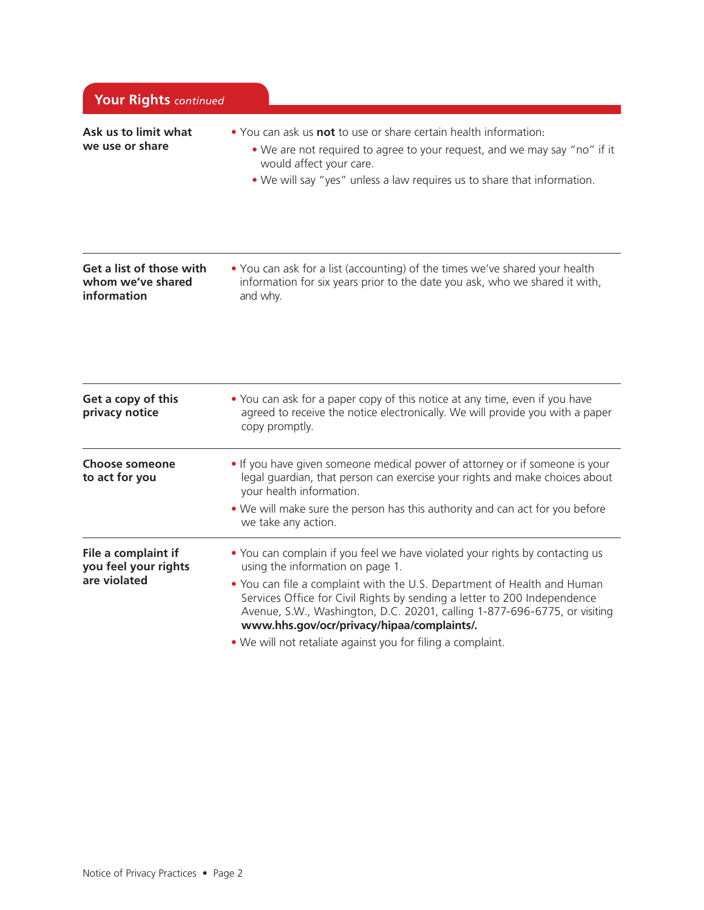| Your Rights continued                                        |                                                                                                                                                                                                                                                                                                                                                                                                                                                                   |  |
|--------------------------------------------------------------|-------------------------------------------------------------------------------------------------------------------------------------------------------------------------------------------------------------------------------------------------------------------------------------------------------------------------------------------------------------------------------------------------------------------------------------------------------------------|--|
| Ask us to limit what<br>we use or share                      | • You can ask us <b>not</b> to use or share certain health information:<br>• We are not required to agree to your request, and we may say "no" if it<br>would affect your care.<br>. We will say "yes" unless a law requires us to share that information.                                                                                                                                                                                                        |  |
| Get a list of those with<br>whom we've shared<br>information | • You can ask for a list (accounting) of the times we've shared your health<br>information for six years prior to the date you ask, who we shared it with,<br>and why.                                                                                                                                                                                                                                                                                            |  |
| Get a copy of this<br>privacy notice                         | • You can ask for a paper copy of this notice at any time, even if you have<br>agreed to receive the notice electronically. We will provide you with a paper<br>copy promptly.                                                                                                                                                                                                                                                                                    |  |
| Choose someone<br>to act for you                             | . If you have given someone medical power of attorney or if someone is your<br>legal guardian, that person can exercise your rights and make choices about<br>your health information.<br>. We will make sure the person has this authority and can act for you before<br>we take any action.                                                                                                                                                                     |  |
| File a complaint if<br>you feel your rights<br>are violated  | • You can complain if you feel we have violated your rights by contacting us<br>using the information on page 1.<br>. You can file a complaint with the U.S. Department of Health and Human<br>Services Office for Civil Rights by sending a letter to 200 Independence<br>Avenue, S.W., Washington, D.C. 20201, calling 1-877-696-6775, or visiting<br>www.hhs.gov/ocr/privacy/hipaa/complaints/.<br>. We will not retaliate against you for filing a complaint. |  |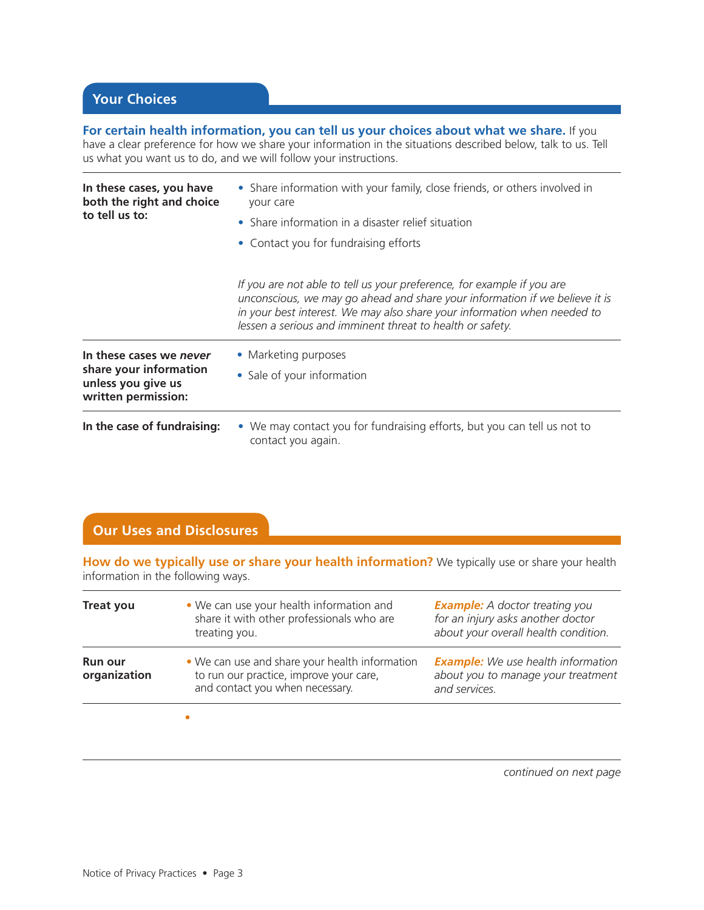**For certain health information, you can tell us your choices about what we share.** If you have a clear preference for how we share your information in the situations described below, talk to us. Tell us what you want us to do, and we will follow your instructions.

| In these cases, you have<br>both the right and choice<br>to tell us to:                        | • Share information with your family, close friends, or others involved in<br>your care<br>• Share information in a disaster relief situation<br>• Contact you for fundraising efforts                                                                                                         |  |
|------------------------------------------------------------------------------------------------|------------------------------------------------------------------------------------------------------------------------------------------------------------------------------------------------------------------------------------------------------------------------------------------------|--|
|                                                                                                | If you are not able to tell us your preference, for example if you are<br>unconscious, we may go ahead and share your information if we believe it is<br>in your best interest. We may also share your information when needed to<br>lessen a serious and imminent threat to health or safety. |  |
| In these cases we never<br>share your information<br>unless you give us<br>written permission: | • Marketing purposes<br>• Sale of your information                                                                                                                                                                                                                                             |  |
| In the case of fundraising:                                                                    | • We may contact you for fundraising efforts, but you can tell us not to<br>contact you again.                                                                                                                                                                                                 |  |

### **Our Uses and Disclosures**

**How do we typically use or share your health information?** We typically use or share your health information in the following ways.

| <b>Treat you</b>               | • We can use your health information and<br>share it with other professionals who are<br>treating you.                       | <b>Example:</b> A doctor treating you<br>for an injury asks another doctor<br>about your overall health condition. |
|--------------------------------|------------------------------------------------------------------------------------------------------------------------------|--------------------------------------------------------------------------------------------------------------------|
| <b>Run our</b><br>organization | • We can use and share your health information<br>to run our practice, improve your care,<br>and contact you when necessary. | <b>Example:</b> We use health information<br>about you to manage your treatment<br>and services.                   |
|                                | $\bullet$ .                                                                                                                  |                                                                                                                    |

*continued on next page*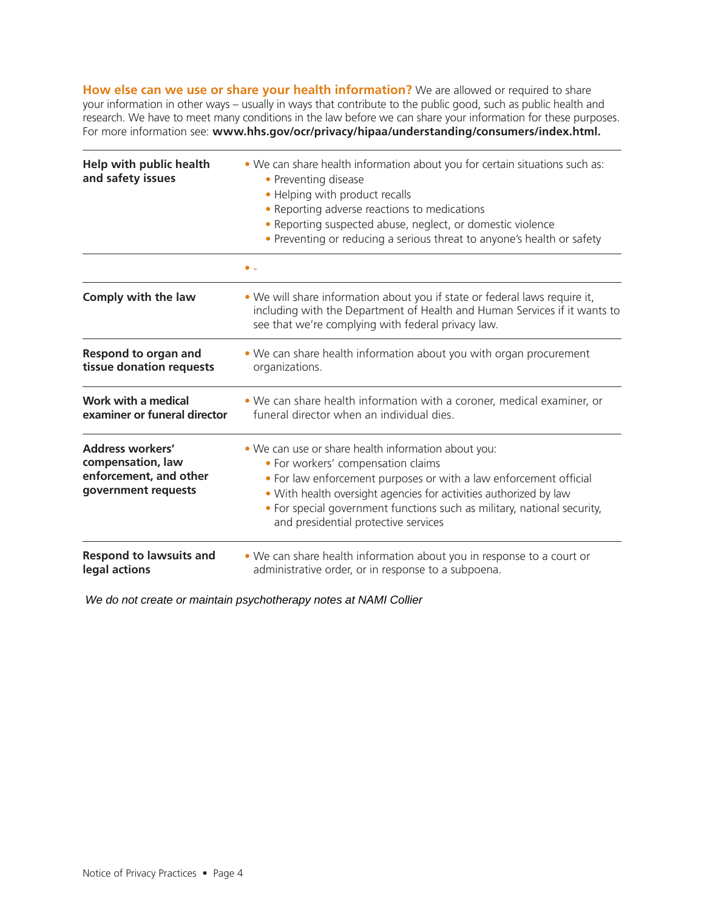**How else can we use or share your health information?** We are allowed or required to share your information in other ways – usually in ways that contribute to the public good, such as public health and research. We have to meet many conditions in the law before we can share your information for these purposes. For more information see: **[www.hhs.gov/ocr/privacy/hipaa/understanding/consumers/index.html.](www.hhs.gov/ocr/privacy/hipaa/understanding/consumers/index.html)**

| <b>Help with public health</b><br>and safety issues                                           | . We can share health information about you for certain situations such as:<br>• Preventing disease<br>• Helping with product recalls<br>• Reporting adverse reactions to medications<br>. Reporting suspected abuse, neglect, or domestic violence<br>• Preventing or reducing a serious threat to anyone's health or safety                          |  |  |
|-----------------------------------------------------------------------------------------------|--------------------------------------------------------------------------------------------------------------------------------------------------------------------------------------------------------------------------------------------------------------------------------------------------------------------------------------------------------|--|--|
|                                                                                               |                                                                                                                                                                                                                                                                                                                                                        |  |  |
| Comply with the law                                                                           | • We will share information about you if state or federal laws require it,<br>including with the Department of Health and Human Services if it wants to<br>see that we're complying with federal privacy law.                                                                                                                                          |  |  |
| <b>Respond to organ and</b><br>tissue donation requests                                       | . We can share health information about you with organ procurement<br>organizations.                                                                                                                                                                                                                                                                   |  |  |
| Work with a medical<br>examiner or funeral director                                           | . We can share health information with a coroner, medical examiner, or<br>funeral director when an individual dies.                                                                                                                                                                                                                                    |  |  |
| <b>Address workers'</b><br>compensation, law<br>enforcement, and other<br>government requests | . We can use or share health information about you:<br>• For workers' compensation claims<br>. For law enforcement purposes or with a law enforcement official<br>. With health oversight agencies for activities authorized by law<br>• For special government functions such as military, national security,<br>and presidential protective services |  |  |
| <b>Respond to lawsuits and</b><br>legal actions                                               | • We can share health information about you in response to a court or<br>administrative order, or in response to a subpoena.                                                                                                                                                                                                                           |  |  |

We do not create or maintain psychotherapy notes at NAMI Collier